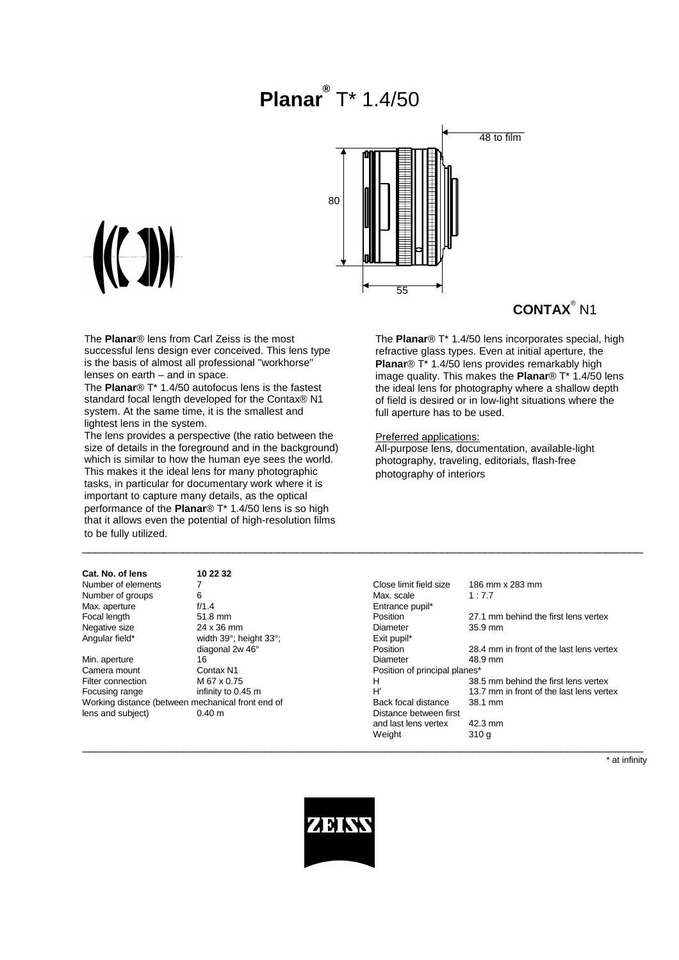# **Planar®** T\* 1.4/50



## **CONTAX**® N1

The **Planar**® lens from Carl Zeiss is the most successful lens design ever conceived. This lens type is the basis of almost all professional "workhorse" lenses on earth – and in space.

The **Planar**® T\* 1.4/50 autofocus lens is the fastest standard focal length developed for the Contax® N1 system. At the same time, it is the smallest and lightest lens in the system.

The lens provides a perspective (the ratio between the size of details in the foreground and in the background) which is similar to how the human eye sees the world. This makes it the ideal lens for many photographic tasks, in particular for documentary work where it is important to capture many details, as the optical performance of the **Planar**® T\* 1.4/50 lens is so high that it allows even the potential of high-resolution films to be fully utilized.

**Cat. No. of lens 10 22 32** Number of elements 7<br>Number of groups 6 Number of groups 6<br>
Max. aperture 6/1.4

#### Preferred applications:

All-purpose lens, documentation, available-light photography, traveling, editorials, flash-free photography of interiors

| טווטו וע. טו וטווס                                | 17 LL JL               |                               |                                          |
|---------------------------------------------------|------------------------|-------------------------------|------------------------------------------|
| Number of elements                                |                        | Close limit field size        | 186 mm x 283 mm                          |
| Number of groups                                  | 6                      | Max. scale                    | 1:7.7                                    |
| Max. aperture                                     | f/1.4                  | Entrance pupil*               |                                          |
| Focal length                                      | 51.8 mm                | Position                      | 27.1 mm behind the first lens vertex     |
| Negative size                                     | 24 x 36 mm             | Diameter                      | $35.9$ mm                                |
| Angular field*                                    | width 39°; height 33°; | Exit pupil*                   |                                          |
|                                                   | diagonal 2w 46°        | Position                      | 28.4 mm in front of the last lens vertex |
| Min. aperture                                     | 16                     | Diameter                      | 48.9 mm                                  |
| Camera mount                                      | Contax N1              | Position of principal planes* |                                          |
| Filter connection                                 | M 67 x 0.75            | н                             | 38.5 mm behind the first lens vertex     |
| Focusing range                                    | infinity to 0.45 m     | H'                            | 13.7 mm in front of the last lens vertex |
| Working distance (between mechanical front end of |                        | Back focal distance           | 38.1 mm                                  |
| lens and subject)                                 | 0.40 m                 | Distance between first        |                                          |
|                                                   |                        | and last lens vertex          | 42.3 mm                                  |
|                                                   |                        | Weight                        | 310 g                                    |
|                                                   |                        |                               |                                          |

\* at infinity



\_\_\_\_\_\_\_\_\_\_\_\_\_\_\_\_\_\_\_\_\_\_\_\_\_\_\_\_\_\_\_\_\_\_\_\_\_\_\_\_\_\_\_\_\_\_\_\_\_\_\_\_\_\_\_\_\_\_\_\_\_\_\_\_\_\_\_\_\_\_\_\_\_\_\_\_\_\_\_\_\_\_\_\_\_\_\_\_\_